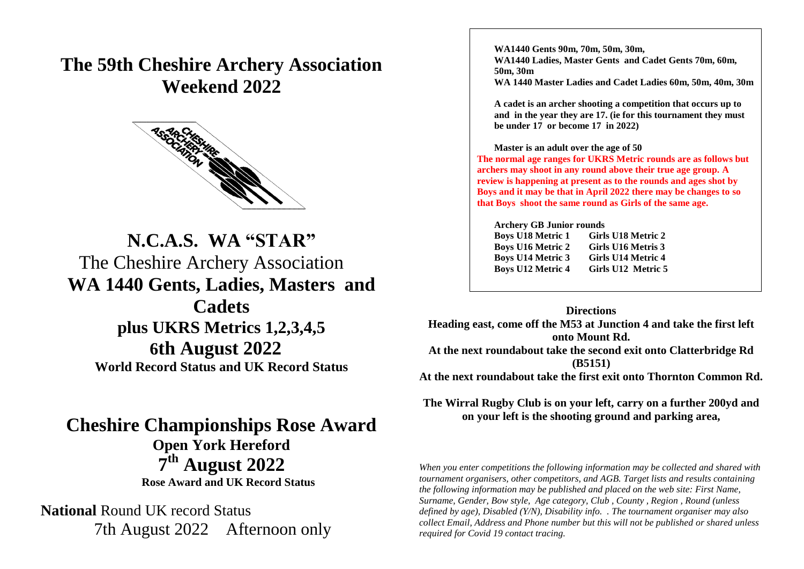## **The 59th Cheshire Archery Association Weekend 2022**



# **N.C.A.S. WA "STAR"** The Cheshire Archery Association **WA 1440 Gents, Ladies, Masters and**

**Cadets plus UKRS Metrics 1,2,3,4,5 the EAF Targe16th August 2022 World Record Status and UK Record Status**

### **Cheshire Championships Rose Award Open York Hereford 7 th August 2022 Rose Award and UK Record Status**

**National** Round UK record Status 7th August 2022 Afternoon only **WA1440 Gents 90m, 70m, 50m, 30m, WA1440 Ladies, Master Gents and Cadet Gents 70m, 60m, 50m, 30m WA 1440 Master Ladies and Cadet Ladies 60m, 50m, 40m, 30m**

**A cadet is an archer shooting a competition that occurs up to and in the year they are 17. (ie for this tournament they must be under 17 or become 17 in 2022)**

#### **Master is an adult over the age of 50**

**The normal age ranges for UKRS Metric rounds are as follows but archers may shoot in any round above their true age group. A review is happening at present as to the rounds and ages shot by Boys and it may be that in April 2022 there may be changes to so that Boys shoot the same round as Girls of the same age.**

**Archery GB Junior rounds Boys U18 Metric 1 Girls U18 Metric 2 Boys U16 Metric 2 Girls U16 Metris 3 Boys U14 Metric 3 Girls U14 Metric 4 Boys U12 Metric 4 Girls U12 Metric 5**

#### **Directions**

**Heading east, come off the M53 at Junction 4 and take the first left onto Mount Rd. At the next roundabout take the second exit onto Clatterbridge Rd (B5151) At the next roundabout take the first exit onto Thornton Common Rd.**

**The Wirral Rugby Club is on your left, carry on a further 200yd and on your left is the shooting ground and parking area,**

*When you enter competitions the following information may be collected and shared with tournament organisers, other competitors, and AGB. Target lists and results containing the following information may be published and placed on the web site: First Name, Surname, Gender, Bow style, Age category, Club , County , Region , Round (unless defined by age), Disabled (Y/N), Disability info. . The tournament organiser may also collect Email, Address and Phone number but this will not be published or shared unless required for Covid 19 contact tracing.*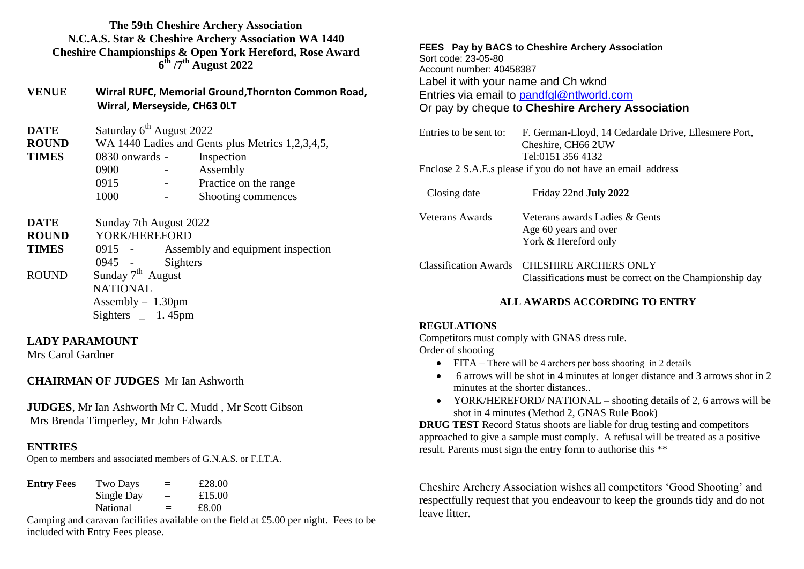#### **The 59th Cheshire Archery Association N.C.A.S. Star & Cheshire Archery Association WA 1440 Cheshire Championships & Open York Hereford, Rose Award 6 th /7th August 2022**

| <b>VENUE</b> | Wirral RUFC, Memorial Ground, Thornton Common Road, |
|--------------|-----------------------------------------------------|
|              | Wirral, Merseyside, CH63 OLT                        |

| <b>DATE</b>                 | Saturday 6 <sup>th</sup> August 2022             |  |                       |  |  |  |  |  |  |
|-----------------------------|--------------------------------------------------|--|-----------------------|--|--|--|--|--|--|
| <b>ROUND</b>                | WA 1440 Ladies and Gents plus Metrics 1,2,3,4,5, |  |                       |  |  |  |  |  |  |
| <b>TIMES</b>                | 0830 onwards -<br>Inspection                     |  |                       |  |  |  |  |  |  |
|                             | 0900                                             |  | Assembly              |  |  |  |  |  |  |
|                             | 0915                                             |  | Practice on the range |  |  |  |  |  |  |
|                             | 1000                                             |  | Shooting commences    |  |  |  |  |  |  |
| <b>DATE</b><br><b>ROUND</b> | Sunday 7th August 2022<br>YORK/HEREFORD          |  |                       |  |  |  |  |  |  |

**TIMES** 0915 - Assembly and equipment inspection 0945 - Sighters ROUND Sunday  $7<sup>th</sup>$  August NATIONAL Assembly – 1.30pm Sighters 1.45pm

#### **LADY PARAMOUNT**

Mrs Carol Gardner

#### **CHAIRMAN OF JUDGES** Mr Ian Ashworth

**JUDGES**, Mr Ian Ashworth Mr C. Mudd , Mr Scott Gibson Mrs Brenda Timperley, Mr John Edwards

#### **ENTRIES**

Open to members and associated members of G.N.A.S. or F.I.T.A.

| <b>Entry Fees</b> | Two Days   | $=$ | £28.00 |
|-------------------|------------|-----|--------|
|                   | Single Day | $=$ | £15.00 |
|                   | National   | $=$ | £8.00  |

Camping and caravan facilities available on the field at £5.00 per night. Fees to be included with Entry Fees please.

**FEES Pay by BACS to Cheshire Archery Association** Sort code: 23-05-80 Account number: 40458387 Label it with your name and Ch wknd Entries via email to [pandfgl@ntlworld.com](mailto:pandfgl@ntlworld.com) Or pay by cheque to **Cheshire Archery Association**

| Entries to be sent to:<br>F. German-Lloyd, 14 Cedardale Drive, Ellesmere Port,<br>Cheshire, CH66 2UW<br>Tel:0151 356 4132 |                                                         |  |  |  |  |  |  |  |
|---------------------------------------------------------------------------------------------------------------------------|---------------------------------------------------------|--|--|--|--|--|--|--|
| Enclose 2 S.A.E.s please if you do not have an email address                                                              |                                                         |  |  |  |  |  |  |  |
| Closing date                                                                                                              | Friday 22nd July 2022                                   |  |  |  |  |  |  |  |
| Veterans Awards                                                                                                           | Veterans awards Ladies & Gents<br>Age 60 years and over |  |  |  |  |  |  |  |

York & Hereford only Classification Awards CHESHIRE ARCHERS ONLY Classifications must be correct on the Championship day

#### **ALL AWARDS ACCORDING TO ENTRY**

#### **REGULATIONS**

Competitors must comply with GNAS dress rule. Order of shooting

- FITA There will be 4 archers per boss shooting in 2 details
- 6 arrows will be shot in 4 minutes at longer distance and 3 arrows shot in 2 minutes at the shorter distances..
- YORK/HEREFORD/ NATIONAL shooting details of 2, 6 arrows will be shot in 4 minutes (Method 2, GNAS Rule Book)

**DRUG TEST** Record Status shoots are liable for drug testing and competitors approached to give a sample must comply. A refusal will be treated as a positive result. Parents must sign the entry form to authorise this \*\*

Cheshire Archery Association wishes all competitors 'Good Shooting' and respectfully request that you endeavour to keep the grounds tidy and do not leave litter.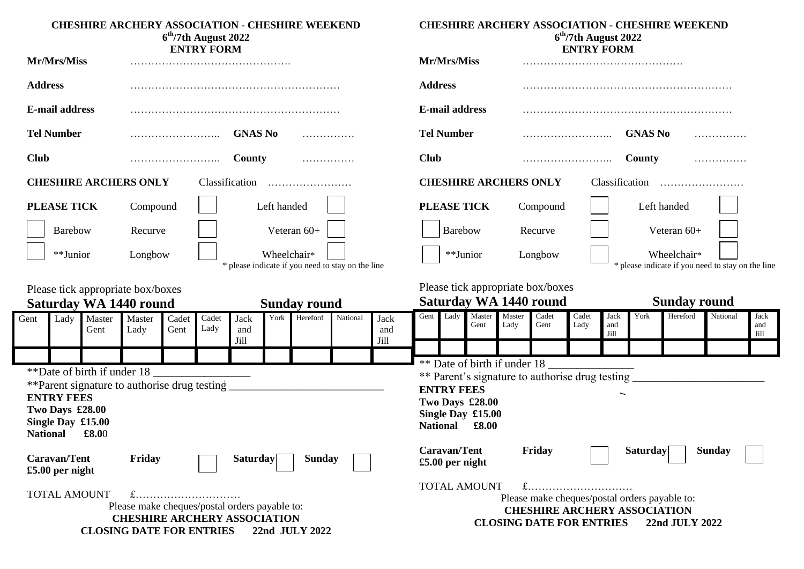| <b>CHESHIRE ARCHERY ASSOCIATION - CHESHIRE WEEKEND</b><br>$6th/7th$ August 2022<br><b>ENTRY FORM</b>                                                                    |                                               |                |                                                                    |               | <b>CHESHIRE ARCHERY ASSOCIATION - CHESHIRE WEEKEND</b><br>$6th/7th$ August 2022<br><b>ENTRY FORM</b> |                     |                                          |                                               |                     |                                                 |                                                                               |                |                                                                  |                                                                    |                                                                 |                     |                |                     |          |                     |
|-------------------------------------------------------------------------------------------------------------------------------------------------------------------------|-----------------------------------------------|----------------|--------------------------------------------------------------------|---------------|------------------------------------------------------------------------------------------------------|---------------------|------------------------------------------|-----------------------------------------------|---------------------|-------------------------------------------------|-------------------------------------------------------------------------------|----------------|------------------------------------------------------------------|--------------------------------------------------------------------|-----------------------------------------------------------------|---------------------|----------------|---------------------|----------|---------------------|
| Mr/Mrs/Miss                                                                                                                                                             |                                               |                |                                                                    |               |                                                                                                      |                     | Mr/Mrs/Miss                              |                                               |                     |                                                 |                                                                               |                |                                                                  |                                                                    |                                                                 |                     |                |                     |          |                     |
| <b>Address</b>                                                                                                                                                          |                                               |                |                                                                    |               |                                                                                                      |                     |                                          |                                               |                     | <b>Address</b>                                  |                                                                               |                |                                                                  |                                                                    |                                                                 |                     |                |                     |          |                     |
|                                                                                                                                                                         | <b>E-mail address</b>                         |                |                                                                    |               |                                                                                                      |                     |                                          |                                               |                     |                                                 | <b>E-mail address</b>                                                         |                |                                                                  |                                                                    |                                                                 |                     |                |                     |          |                     |
|                                                                                                                                                                         | <b>Tel Number</b>                             |                |                                                                    |               |                                                                                                      | <b>GNAS No</b>      | .                                        |                                               |                     |                                                 | <b>Tel Number</b>                                                             |                |                                                                  |                                                                    |                                                                 |                     | <b>GNAS No</b> |                     |          |                     |
| <b>Club</b>                                                                                                                                                             |                                               |                |                                                                    |               |                                                                                                      | County              | .                                        |                                               |                     | <b>Club</b>                                     |                                                                               |                |                                                                  |                                                                    |                                                                 |                     | County         |                     | .        |                     |
|                                                                                                                                                                         |                                               |                | <b>CHESHIRE ARCHERS ONLY</b>                                       |               |                                                                                                      | Classification      |                                          |                                               |                     |                                                 |                                                                               |                | <b>CHESHIRE ARCHERS ONLY</b>                                     |                                                                    |                                                                 |                     |                |                     |          |                     |
|                                                                                                                                                                         | <b>PLEASE TICK</b><br>Left handed<br>Compound |                |                                                                    |               |                                                                                                      |                     |                                          | <b>PLEASE TICK</b>                            |                     | Compound                                        |                                                                               |                |                                                                  | Left handed                                                        |                                                                 |                     |                |                     |          |                     |
|                                                                                                                                                                         | <b>Barebow</b>                                |                | Recurve                                                            |               |                                                                                                      |                     | Veteran 60+                              |                                               |                     |                                                 | <b>Barebow</b>                                                                |                |                                                                  | Recurve                                                            |                                                                 |                     |                | Veteran $60+$       |          |                     |
| Wheelchair*<br>**Junior<br>Longbow<br>* please indicate if you need to stay on the line                                                                                 |                                               |                |                                                                    |               |                                                                                                      | **Junior            |                                          |                                               | Longbow             |                                                 |                                                                               |                | Wheelchair*<br>* please indicate if you need to stay on the line |                                                                    |                                                                 |                     |                |                     |          |                     |
|                                                                                                                                                                         |                                               |                | Please tick appropriate box/boxes<br><b>Saturday WA 1440 round</b> |               |                                                                                                      |                     | <b>Sunday round</b>                      |                                               |                     |                                                 |                                                                               |                |                                                                  | Please tick appropriate box/boxes<br><b>Saturday WA 1440 round</b> |                                                                 |                     |                | <b>Sunday round</b> |          |                     |
| Gent                                                                                                                                                                    | Lady                                          | Master<br>Gent | Master<br>Lady                                                     | Cadet<br>Gent | Cadet<br>Lady                                                                                        | Jack<br>and<br>Jill | York Hereford                            | National                                      | Jack<br>and<br>Jill | Gent                                            | Lady                                                                          | Master<br>Gent | Master<br>Lady                                                   | Cadet<br>Gent                                                      | Cadet<br>Lady                                                   | Jack<br>and<br>Jill | York           | Hereford            | National | Jack<br>and<br>Jill |
|                                                                                                                                                                         |                                               |                |                                                                    |               |                                                                                                      |                     |                                          |                                               |                     |                                                 |                                                                               |                | ** Date of birth if under 18                                     |                                                                    |                                                                 |                     |                |                     |          |                     |
| **Date of birth if under 18<br>**Parent signature to authorise drug testing<br><b>ENTRY FEES</b><br>Two Days £28.00<br>Single Day £15.00<br>£8.00<br><b>National</b>    |                                               |                |                                                                    |               |                                                                                                      | <b>National</b>     | <b>ENTRY FEES</b>                        | Two Days £28.00<br>Single Day £15.00<br>£8.00 |                     | ** Parent's signature to authorise drug testing |                                                                               |                |                                                                  |                                                                    |                                                                 |                     |                |                     |          |                     |
| <b>Caravan/Tent</b><br>Friday<br>Saturday<br><b>Sunday</b><br>$£5.00$ per night                                                                                         |                                               |                |                                                                    |               |                                                                                                      |                     | <b>Caravan/Tent</b><br>$£5.00$ per night |                                               |                     | Friday                                          |                                                                               |                | <b>Saturday</b>                                                  |                                                                    | <b>Sunday</b>                                                   |                     |                |                     |          |                     |
| <b>TOTAL AMOUNT</b><br>$f$<br>Please make cheques/postal orders payable to:<br><b>CHESHIRE ARCHERY ASSOCIATION</b><br><b>CLOSING DATE FOR ENTRIES</b><br>22nd JULY 2022 |                                               |                |                                                                    |               |                                                                                                      |                     |                                          |                                               | <b>TOTAL AMOUNT</b> |                                                 | $f$<br><b>CHESHIRE ARCHERY ASSOCIATION</b><br><b>CLOSING DATE FOR ENTRIES</b> |                |                                                                  |                                                                    | Please make cheques/postal orders payable to:<br>22nd JULY 2022 |                     |                |                     |          |                     |